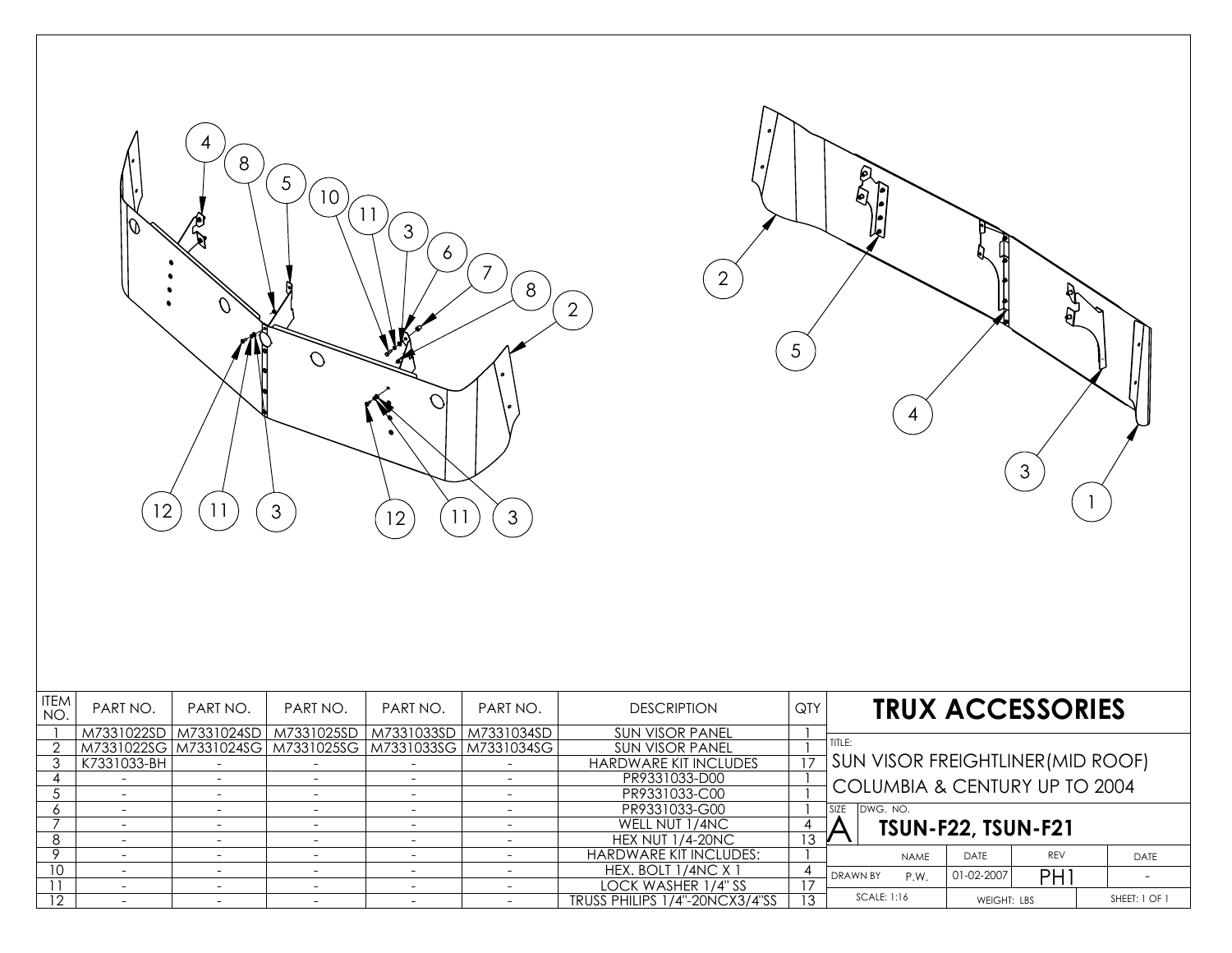



| <b>ITEM</b><br>NO. | PART NO.    | PART NO.                 | PART NO.                                               | PART NO.                 | PART NO.   | <b>DESCRIPTION</b>             | QTY | <b>TRUX ACCESSORIES</b>                            |  |  |
|--------------------|-------------|--------------------------|--------------------------------------------------------|--------------------------|------------|--------------------------------|-----|----------------------------------------------------|--|--|
|                    | M7331022SD  | M7331024SD               | M7331025SD                                             | M7331033SD               | M7331034SD | <b>SUN VISOR PANEL</b>         |     |                                                    |  |  |
|                    |             |                          | M7331022SG M7331024SG M7331025SG M7331033SG M7331034SG |                          |            | <b>SUN VISOR PANEL</b>         |     | TITLE:<br><b>SUN VISOR FREIGHTLINER (MID ROOF)</b> |  |  |
|                    | K7331033-BH |                          |                                                        |                          |            | <b>HARDWARE KIT INCLUDES</b>   |     |                                                    |  |  |
|                    |             |                          |                                                        |                          |            | PR9331033-D00                  |     | COLUMBIA & CENTURY UP TO 2004                      |  |  |
|                    |             |                          |                                                        | $\overline{\phantom{0}}$ |            | PR9331033-C00                  |     |                                                    |  |  |
|                    |             |                          |                                                        |                          |            | PR9331033-G00                  |     | DWG, NO.                                           |  |  |
|                    |             |                          | $\overline{\phantom{a}}$                               | $\overline{\phantom{a}}$ |            | WELL NUT 1/4NC                 |     | <b>TSUN-F22, TSUN-F21</b>                          |  |  |
| 8                  |             |                          | $\overline{\phantom{a}}$                               | $\overline{\phantom{a}}$ |            | <b>HEX NUT 1/4-20NC</b>        | 13  |                                                    |  |  |
|                    |             | $\overline{\phantom{0}}$ | $\overline{\phantom{0}}$                               | $\overline{\phantom{a}}$ |            | <b>HARDWARE KIT INCLUDES:</b>  |     | REV<br>DATE<br>DATE<br><b>NAME</b>                 |  |  |
| 10                 |             |                          | $\overline{\phantom{0}}$                               | $\overline{\phantom{0}}$ |            | HEX. BOLT 1/4NC X 1            |     | PH<br>01-02-2007<br><b>DRAWN BY</b><br>P.W.        |  |  |
|                    |             |                          | $\overline{\phantom{0}}$                               | $\overline{\phantom{a}}$ |            | LOCK WASHER 1/4" SS            |     |                                                    |  |  |
| 12                 |             |                          |                                                        |                          |            | TRUSS PHILIPS 1/4"-20NCX3/4"SS | 13  | SCALE: 1:16<br>SHEET: 1 OF 1<br><b>WFIGHT: LBS</b> |  |  |